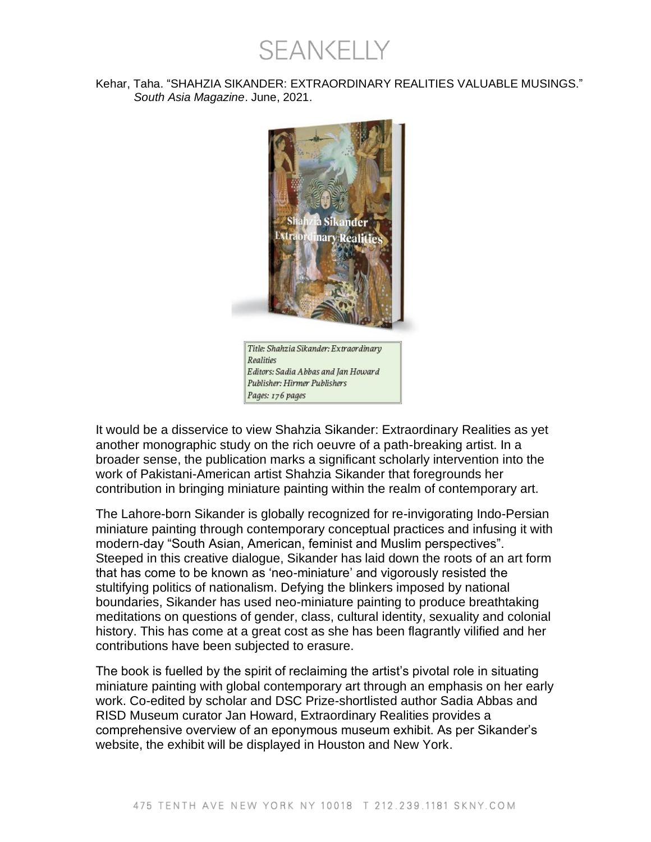SEANKELLY

## Kehar, Taha. "SHAHZIA SIKANDER: EXTRAORDINARY REALITIES VALUABLE MUSINGS." *South Asia Magazine*. June, 2021.



It would be a disservice to view Shahzia Sikander: Extraordinary Realities as yet another monographic study on the rich oeuvre of a path-breaking artist. In a broader sense, the publication marks a significant scholarly intervention into the work of Pakistani-American artist Shahzia Sikander that foregrounds her contribution in bringing miniature painting within the realm of contemporary art.

The Lahore-born Sikander is globally recognized for re-invigorating Indo-Persian miniature painting through contemporary conceptual practices and infusing it with modern-day "South Asian, American, feminist and Muslim perspectives". Steeped in this creative dialogue, Sikander has laid down the roots of an art form that has come to be known as 'neo-miniature' and vigorously resisted the stultifying politics of nationalism. Defying the blinkers imposed by national boundaries, Sikander has used neo-miniature painting to produce breathtaking meditations on questions of gender, class, cultural identity, sexuality and colonial history. This has come at a great cost as she has been flagrantly vilified and her contributions have been subjected to erasure.

The book is fuelled by the spirit of reclaiming the artist's pivotal role in situating miniature painting with global contemporary art through an emphasis on her early work. Co-edited by scholar and DSC Prize-shortlisted author Sadia Abbas and RISD Museum curator Jan Howard, Extraordinary Realities provides a comprehensive overview of an eponymous museum exhibit. As per Sikander's website, the exhibit will be displayed in Houston and New York.